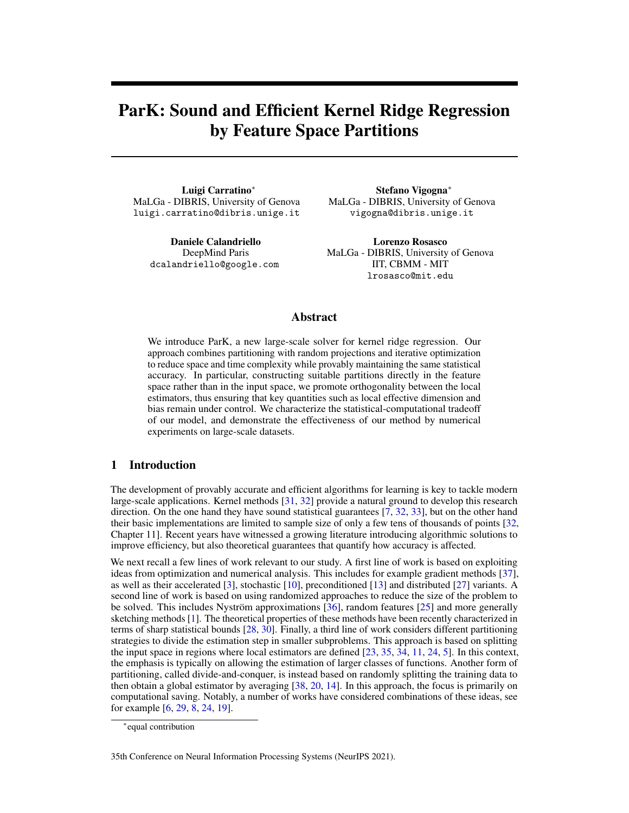# ParK: Sound and Efficient Kernel Ridge Regression by Feature Space Partitions

Luigi Carratino<sup>∗</sup> MaLGa - DIBRIS, University of Genova luigi.carratino@dibris.unige.it

> Daniele Calandriello DeepMind Paris dcalandriello@google.com

Stefano Vigogna<sup>∗</sup> MaLGa - DIBRIS, University of Genova vigogna@dibris.unige.it

Lorenzo Rosasco MaLGa - DIBRIS, University of Genova IIT, CBMM - MIT lrosasco@mit.edu

# Abstract

We introduce ParK, a new large-scale solver for kernel ridge regression. Our approach combines partitioning with random projections and iterative optimization to reduce space and time complexity while provably maintaining the same statistical accuracy. In particular, constructing suitable partitions directly in the feature space rather than in the input space, we promote orthogonality between the local estimators, thus ensuring that key quantities such as local effective dimension and bias remain under control. We characterize the statistical-computational tradeoff of our model, and demonstrate the effectiveness of our method by numerical experiments on large-scale datasets.

## 1 Introduction

The development of provably accurate and efficient algorithms for learning is key to tackle modern large-scale applications. Kernel methods [\[31,](#page-11-0) [32\]](#page-11-1) provide a natural ground to develop this research direction. On the one hand they have sound statistical guarantees [\[7,](#page-10-0) [32,](#page-11-1) [33\]](#page-11-2), but on the other hand their basic implementations are limited to sample size of only a few tens of thousands of points [\[32,](#page-11-1) Chapter 11]. Recent years have witnessed a growing literature introducing algorithmic solutions to improve efficiency, but also theoretical guarantees that quantify how accuracy is affected.

We next recall a few lines of work relevant to our study. A first line of work is based on exploiting ideas from optimization and numerical analysis. This includes for example gradient methods [\[37\]](#page-11-3), as well as their accelerated [\[3\]](#page-10-1), stochastic [\[10\]](#page-10-2), preconditioned [\[13\]](#page-10-3) and distributed [\[27\]](#page-11-4) variants. A second line of work is based on using randomized approaches to reduce the size of the problem to be solved. This includes Nyström approximations [\[36\]](#page-11-5), random features [\[25\]](#page-11-6) and more generally sketching methods [\[1\]](#page-10-4). The theoretical properties of these methods have been recently characterized in terms of sharp statistical bounds [\[28,](#page-11-7) [30\]](#page-11-8). Finally, a third line of work considers different partitioning strategies to divide the estimation step in smaller subproblems. This approach is based on splitting the input space in regions where local estimators are defined [\[23,](#page-11-9) [35,](#page-11-10) [34,](#page-11-11) [11,](#page-10-5) [24,](#page-11-12) [5\]](#page-10-6). In this context, the emphasis is typically on allowing the estimation of larger classes of functions. Another form of partitioning, called divide-and-conquer, is instead based on randomly splitting the training data to then obtain a global estimator by averaging [\[38,](#page-11-13) [20,](#page-10-7) [14\]](#page-10-8). In this approach, the focus is primarily on computational saving. Notably, a number of works have considered combinations of these ideas, see for example [\[6,](#page-10-9) [29,](#page-11-14) [8,](#page-10-10) [24,](#page-11-12) [19\]](#page-10-11).

35th Conference on Neural Information Processing Systems (NeurIPS 2021).

<sup>∗</sup> equal contribution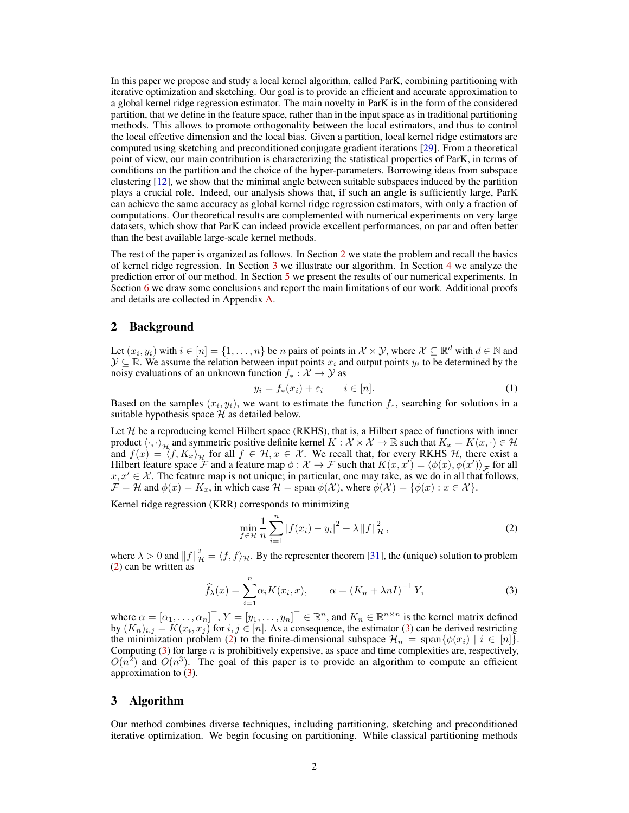In this paper we propose and study a local kernel algorithm, called ParK, combining partitioning with iterative optimization and sketching. Our goal is to provide an efficient and accurate approximation to a global kernel ridge regression estimator. The main novelty in ParK is in the form of the considered partition, that we define in the feature space, rather than in the input space as in traditional partitioning methods. This allows to promote orthogonality between the local estimators, and thus to control the local effective dimension and the local bias. Given a partition, local kernel ridge estimators are computed using sketching and preconditioned conjugate gradient iterations [\[29\]](#page-11-14). From a theoretical point of view, our main contribution is characterizing the statistical properties of ParK, in terms of conditions on the partition and the choice of the hyper-parameters. Borrowing ideas from subspace clustering [\[12\]](#page-10-12), we show that the minimal angle between suitable subspaces induced by the partition plays a crucial role. Indeed, our analysis shows that, if such an angle is sufficiently large, ParK can achieve the same accuracy as global kernel ridge regression estimators, with only a fraction of computations. Our theoretical results are complemented with numerical experiments on very large datasets, which show that ParK can indeed provide excellent performances, on par and often better than the best available large-scale kernel methods.

The rest of the paper is organized as follows. In Section [2](#page-1-0) we state the problem and recall the basics of kernel ridge regression. In Section [3](#page-1-1) we illustrate our algorithm. In Section [4](#page-5-0) we analyze the prediction error of our method. In Section [5](#page-8-0) we present the results of our numerical experiments. In Section [6](#page-9-0) we draw some conclusions and report the main limitations of our work. Additional proofs and details are collected in Appendix [A.](#page--1-0)

## <span id="page-1-0"></span>2 Background

Let  $(x_i, y_i)$  with  $i \in [n] = \{1, \dots, n\}$  be *n* pairs of points in  $\mathcal{X} \times \mathcal{Y}$ , where  $\mathcal{X} \subseteq \mathbb{R}^d$  with  $d \in \mathbb{N}$  and  $\mathcal{Y} \subseteq \mathbb{R}$ . We assume the relation between input points  $x_i$  and output points  $y_i$  to be determined by the noisy evaluations of an unknown function  $f_* : \mathcal{X} \to \mathcal{Y}$  as

<span id="page-1-4"></span>
$$
y_i = f_*(x_i) + \varepsilon_i \qquad i \in [n]. \tag{1}
$$

Based on the samples  $(x_i, y_i)$ , we want to estimate the function  $f_*$ , searching for solutions in a suitable hypothesis space  $H$  as detailed below.

Let  $H$  be a reproducing kernel Hilbert space (RKHS), that is, a Hilbert space of functions with inner product  $\langle \cdot, \cdot \rangle_{\mathcal{H}}$  and symmetric positive definite kernel  $K : \mathcal{X} \times \mathcal{X} \to \mathbb{R}$  such that  $K_x = K(x, \cdot) \in \mathcal{H}$ and  $f(x) = \langle f, K_x \rangle_{\mathcal{H}}$  for all  $f \in \mathcal{H}, x \in \mathcal{X}$ . We recall that, for every RKHS H, there exist a Hilbert feature space  $\mathcal F$  and a feature map  $\phi: \mathcal X \to \mathcal F$  such that  $K(x, x') = \langle \phi(x), \phi(x') \rangle_{\mathcal F}$  for all  $x, x' \in \mathcal{X}$ . The feature map is not unique; in particular, one may take, as we do in all that follows,  $\mathcal{F} = \mathcal{H}$  and  $\phi(x) = K_x$ , in which case  $\mathcal{H} = \overline{\text{span}} \phi(\mathcal{X})$ , where  $\phi(\mathcal{X}) = \{\phi(x) : x \in \mathcal{X}\}\$ .

Kernel ridge regression (KRR) corresponds to minimizing

<span id="page-1-2"></span>
$$
\min_{f \in \mathcal{H}} \frac{1}{n} \sum_{i=1}^{n} |f(x_i) - y_i|^2 + \lambda \|f\|_{\mathcal{H}}^2,
$$
\n(2)

where  $\lambda > 0$  and  $||f||^2_{\mathcal{H}} = \langle f, f \rangle_{\mathcal{H}}$ . By the representer theorem [\[31\]](#page-11-0), the (unique) solution to problem [\(2\)](#page-1-2) can be written as

<span id="page-1-3"></span>
$$
\widehat{f}_{\lambda}(x) = \sum_{i=1}^{n} \alpha_i K(x_i, x), \qquad \alpha = (K_n + \lambda n I)^{-1} Y,
$$
\n(3)

where  $\alpha = [\alpha_1, \dots, \alpha_n]^\top$ ,  $Y = [y_1, \dots, y_n]^\top \in \mathbb{R}^n$ , and  $K_n \in \mathbb{R}^{n \times n}$  is the kernel matrix defined by  $(K_n)_{i,j} = K(x_i, x_j)$  for  $i, j \in [n]$ . As a consequence, the estimator [\(3\)](#page-1-3) can be derived restricting the minimization problem [\(2\)](#page-1-2) to the finite-dimensional subspace  $\mathcal{H}_n = \text{span}\{\phi(x_i) \mid i \in [n]\}.$ Computing  $(3)$  for large n is prohibitively expensive, as space and time complexities are, respectively,  $O(n^2)$  and  $O(n^3)$ . The goal of this paper is to provide an algorithm to compute an efficient approximation to [\(3\)](#page-1-3).

# <span id="page-1-1"></span>3 Algorithm

Our method combines diverse techniques, including partitioning, sketching and preconditioned iterative optimization. We begin focusing on partitioning. While classical partitioning methods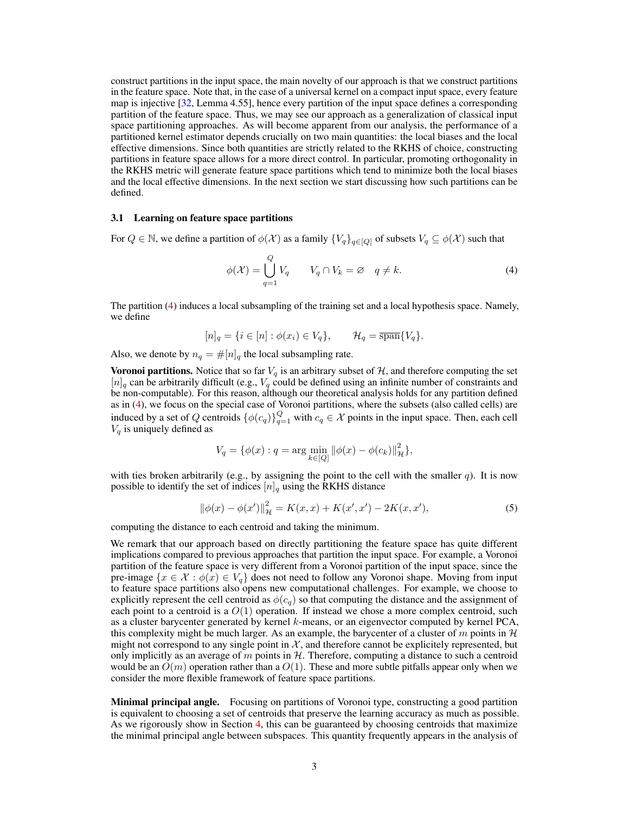construct partitions in the input space, the main novelty of our approach is that we construct partitions in the feature space. Note that, in the case of a universal kernel on a compact input space, every feature map is injective [\[32,](#page-11-1) Lemma 4.55], hence every partition of the input space defines a corresponding partition of the feature space. Thus, we may see our approach as a generalization of classical input space partitioning approaches. As will become apparent from our analysis, the performance of a partitioned kernel estimator depends crucially on two main quantities: the local biases and the local effective dimensions. Since both quantities are strictly related to the RKHS of choice, constructing partitions in feature space allows for a more direct control. In particular, promoting orthogonality in the RKHS metric will generate feature space partitions which tend to minimize both the local biases and the local effective dimensions. In the next section we start discussing how such partitions can be defined.

#### 3.1 Learning on feature space partitions

For  $Q \in \mathbb{N}$ , we define a partition of  $\phi(\mathcal{X})$  as a family  $\{V_q\}_{q \in [Q]}$  of subsets  $V_q \subseteq \phi(\mathcal{X})$  such that

<span id="page-2-0"></span>
$$
\phi(\mathcal{X}) = \bigcup_{q=1}^{Q} V_q \qquad V_q \cap V_k = \varnothing \quad q \neq k. \tag{4}
$$

The partition [\(4\)](#page-2-0) induces a local subsampling of the training set and a local hypothesis space. Namely, we define

$$
[n]_q = \{ i \in [n] : \phi(x_i) \in V_q \}, \qquad \mathcal{H}_q = \overline{\text{span}}\{V_q\}.
$$

Also, we denote by  $n_q = \#[n]_q$  the local subsampling rate.

**Voronoi partitions.** Notice that so far  $V_q$  is an arbitrary subset of  $H$ , and therefore computing the set  $[n]_q$  can be arbitrarily difficult (e.g.,  $V_q$  could be defined using an infinite number of constraints and be non-computable). For this reason, although our theoretical analysis holds for any partition defined as in [\(4\)](#page-2-0), we focus on the special case of Voronoi partitions, where the subsets (also called cells) are induced by a set of Q centroids  $\{\phi(c_q)\}_{q=1}^Q$  with  $c_q \in \mathcal{X}$  points in the input space. Then, each cell  $V_q$  is uniquely defined as

<span id="page-2-1"></span>
$$
V_q = \{ \phi(x) : q = \arg\min_{k \in [Q]} \| \phi(x) - \phi(c_k) \|_{\mathcal{H}}^2 \},\
$$

with ties broken arbitrarily (e.g., by assigning the point to the cell with the smaller  $q$ ). It is now possible to identify the set of indices  $[n]_q$  using the RKHS distance

$$
\|\phi(x) - \phi(x')\|_{\mathcal{H}}^2 = K(x, x) + K(x', x') - 2K(x, x'),\tag{5}
$$

computing the distance to each centroid and taking the minimum.

We remark that our approach based on directly partitioning the feature space has quite different implications compared to previous approaches that partition the input space. For example, a Voronoi partition of the feature space is very different from a Voronoi partition of the input space, since the pre-image  $\{x \in \mathcal{X} : \phi(x) \in V_q\}$  does not need to follow any Voronoi shape. Moving from input to feature space partitions also opens new computational challenges. For example, we choose to explicitly represent the cell centroid as  $\phi(c_q)$  so that computing the distance and the assignment of each point to a centroid is a  $O(1)$  operation. If instead we chose a more complex centroid, such as a cluster barycenter generated by kernel  $k$ -means, or an eigenvector computed by kernel PCA, this complexity might be much larger. As an example, the barycenter of a cluster of m points in  $\mathcal{H}$ might not correspond to any single point in  $\mathcal{X}$ , and therefore cannot be explicitely represented, but only implicitly as an average of m points in  $H$ . Therefore, computing a distance to such a centroid would be an  $O(m)$  operation rather than a  $O(1)$ . These and more subtle pitfalls appear only when we consider the more flexible framework of feature space partitions.

**Minimal principal angle.** Focusing on partitions of Voronoi type, constructing a good partition is equivalent to choosing a set of centroids that preserve the learning accuracy as much as possible. As we rigorously show in Section [4,](#page-5-0) this can be guaranteed by choosing centroids that maximize the minimal principal angle between subspaces. This quantity frequently appears in the analysis of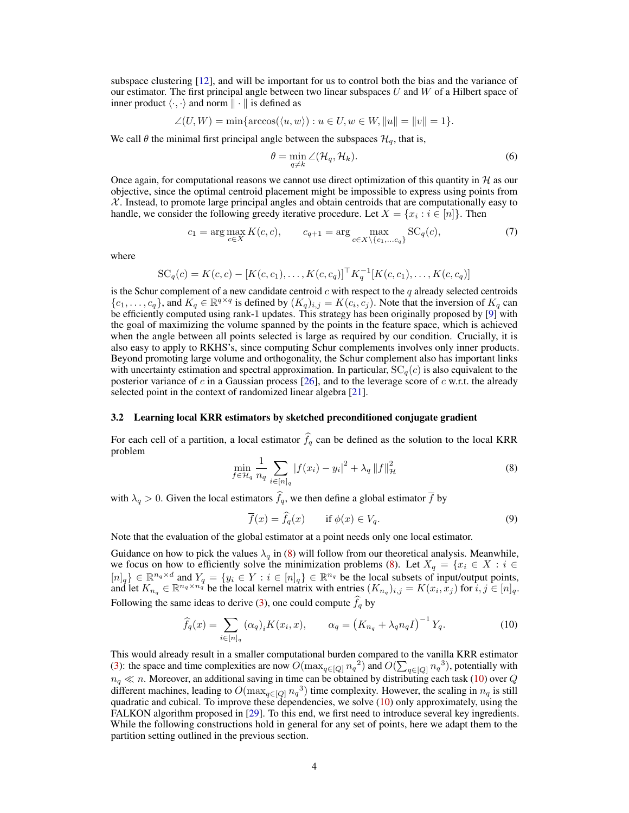subspace clustering [\[12\]](#page-10-12), and will be important for us to control both the bias and the variance of our estimator. The first principal angle between two linear subspaces  $U$  and  $W$  of a Hilbert space of inner product  $\langle \cdot, \cdot \rangle$  and norm  $\| \cdot \|$  is defined as

$$
\angle(U, W) = \min\{\arccos(\langle u, w \rangle) : u \in U, w \in W, ||u|| = ||v|| = 1\}.
$$

We call  $\theta$  the minimal first principal angle between the subspaces  $\mathcal{H}_q$ , that is,

<span id="page-3-3"></span><span id="page-3-2"></span>
$$
\theta = \min_{q \neq k} \angle(\mathcal{H}_q, \mathcal{H}_k). \tag{6}
$$

Once again, for computational reasons we cannot use direct optimization of this quantity in  $H$  as our objective, since the optimal centroid placement might be impossible to express using points from  $X$ . Instead, to promote large principal angles and obtain centroids that are computationally easy to handle, we consider the following greedy iterative procedure. Let  $X = \{x_i : i \in [n]\}.$  Then

$$
c_1 = \arg\max_{c \in X} K(c, c), \qquad c_{q+1} = \arg\max_{c \in X \setminus \{c_1, \dots c_q\}} SC_q(c), \tag{7}
$$

where

$$
SC_q(c) = K(c, c) - [K(c, c_1), \dots, K(c, c_q)]^\top K_q^{-1} [K(c, c_1), \dots, K(c, c_q)]
$$

is the Schur complement of a new candidate centroid c with respect to the q already selected centroids  $\{c_1,\ldots,c_q\}$ , and  $K_q \in \mathbb{R}^{q \times q}$  is defined by  $(K_q)_{i,j} = K(c_i,c_j)$ . Note that the inversion of  $K_q$  can be efficiently computed using rank-1 updates. This strategy has been originally proposed by [\[9\]](#page-10-13) with the goal of maximizing the volume spanned by the points in the feature space, which is achieved when the angle between all points selected is large as required by our condition. Crucially, it is also easy to apply to RKHS's, since computing Schur complements involves only inner products. Beyond promoting large volume and orthogonality, the Schur complement also has important links with uncertainty estimation and spectral approximation. In particular,  $SC<sub>q</sub>(c)$  is also equivalent to the posterior variance of c in a Gaussian process [\[26\]](#page-11-15), and to the leverage score of c w.r.t. the already selected point in the context of randomized linear algebra [\[21\]](#page-10-14).

#### 3.2 Learning local KRR estimators by sketched preconditioned conjugate gradient

<span id="page-3-0"></span>For each cell of a partition, a local estimator  $\hat{f}_q$  can be defined as the solution to the local KRR problem

$$
\min_{f \in \mathcal{H}_q} \frac{1}{n_q} \sum_{i \in [n]_q} |f(x_i) - y_i|^2 + \lambda_q \|f\|_{\mathcal{H}}^2
$$
\n(8)

with  $\lambda_q > 0$ . Given the local estimators  $\hat{f}_q$ , we then define a global estimator  $\bar{f}$  by

<span id="page-3-1"></span>
$$
\overline{f}(x) = \hat{f}_q(x) \qquad \text{if } \phi(x) \in V_q. \tag{9}
$$

Note that the evaluation of the global estimator at a point needs only one local estimator.

Guidance on how to pick the values  $\lambda_q$  in [\(8\)](#page-3-0) will follow from our theoretical analysis. Meanwhile, we focus on how to efficiently solve the minimization problems [\(8\)](#page-3-0). Let  $X_q = \{x_i \in X : i \in$  $[n]_q$ }  $\in \mathbb{R}^{n_q \times d}$  and  $Y_q = \{y_i \in Y : i \in [n]_q\} \in \mathbb{R}^{n_q}$  be the local subsets of input/output points, and let  $K_{n_q} \in \mathbb{R}^{n_q \times n_q}$  be the local kernel matrix with entries  $(K_{n_q})_{i,j} = K(x_i, x_j)$  for  $i, j \in [n]_q$ . Following the same ideas to derive [\(3\)](#page-1-3), one could compute  $f_q$  by

$$
\widehat{f}_q(x) = \sum_{i \in [n]_q} (\alpha_q)_i K(x_i, x), \qquad \alpha_q = \left( K_{n_q} + \lambda_q n_q I \right)^{-1} Y_q. \tag{10}
$$

This would already result in a smaller computational burden compared to the vanilla KRR estimator [\(3\)](#page-1-3): the space and time complexities are now  $O(\max_{q \in [Q]} n_q^2)$  and  $O(\sum_{q \in [Q]} n_q^3)$ , potentially with  $n_q \ll n$ . Moreover, an additional saving in time can be obtained by distributing each task [\(10\)](#page-3-1) over Q different machines, leading to  $O(\max_{q \in [Q]} n_q^3)$  time complexity. However, the scaling in  $n_q$  is still quadratic and cubical. To improve these dependencies, we solve [\(10\)](#page-3-1) only approximately, using the FALKON algorithm proposed in [\[29\]](#page-11-14). To this end, we first need to introduce several key ingredients. While the following constructions hold in general for any set of points, here we adapt them to the partition setting outlined in the previous section.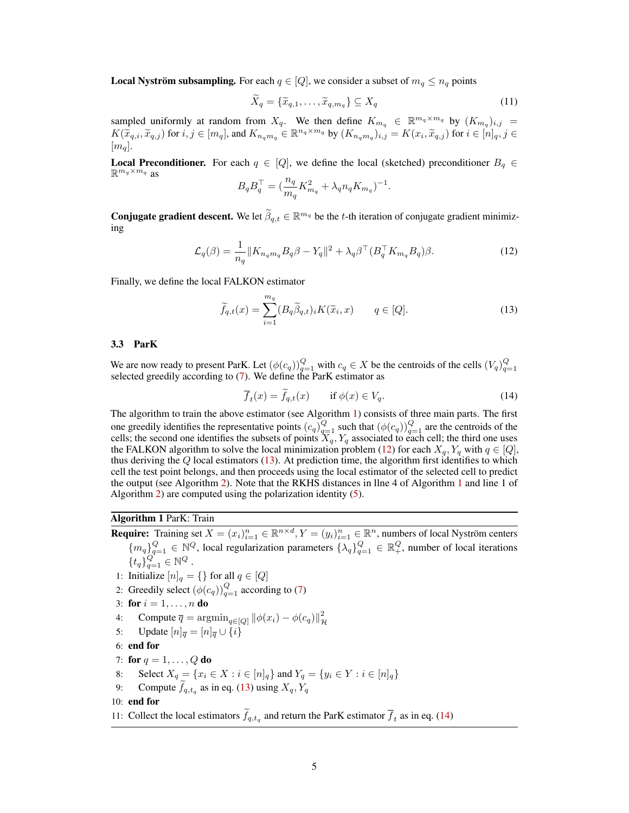**Local Nyström subsampling.** For each  $q \in [Q]$ , we consider a subset of  $m_q \le n_q$  points

$$
\widetilde{X}_q = \{\widetilde{x}_{q,1}, \dots, \widetilde{x}_{q,m_q}\} \subseteq X_q \tag{11}
$$

sampled uniformly at random from  $X_q$ . We then define  $K_{m_q} \in \mathbb{R}^{m_q \times m_q}$  by  $(K_{m_q})_{i,j} =$  $K(\widetilde{x}_{q,i}, \widetilde{x}_{q,j})$  for  $i, j \in [m_q]$ , and  $K_{n_q m_q} \in \mathbb{R}^{n_q \times m_q}$  by  $(K_{n_q m_q})_{i,j} = K(x_i, \widetilde{x}_{q,j})$  for  $i \in [n]_q, j \in [m]_q$  $[m_q].$ 

**Local Preconditioner.** For each  $q \in [Q]$ , we define the local (sketched) preconditioner  $B_q \in$  $\mathbb{R}^{m_q \times m_q}$  as

<span id="page-4-1"></span>
$$
B_q B_q^{\top} = \left(\frac{n_q}{m_q} K_{m_q}^2 + \lambda_q n_q K_{m_q}\right)^{-1}.
$$

**Conjugate gradient descent.** We let  $\widetilde{\beta}_{q,t} \in \mathbb{R}^{m_q}$  be the t-th iteration of conjugate gradient minimizing

$$
\mathcal{L}_q(\beta) = \frac{1}{n_q} \|K_{n_q m_q} B_q \beta - Y_q\|^2 + \lambda_q \beta^\top (B_q^\top K_{m_q} B_q) \beta. \tag{12}
$$

Finally, we define the local FALKON estimator

<span id="page-4-2"></span>
$$
\widetilde{f}_{q,t}(x) = \sum_{i=1}^{m_q} (B_q \widetilde{\beta}_{q,t})_i K(\widetilde{x}_i, x) \qquad q \in [Q]. \tag{13}
$$

## 3.3 ParK

We are now ready to present ParK. Let  $(\phi(c_q))_{q=1}^Q$  with  $c_q \in X$  be the centroids of the cells  $(V_q)_{q=1}^Q$  selected greedily according to [\(7\)](#page-3-2). We define the ParK estimator as

<span id="page-4-3"></span>
$$
\overline{f}_t(x) = \overline{f}_{q,t}(x) \qquad \text{if } \phi(x) \in V_q. \tag{14}
$$

The algorithm to train the above estimator (see Algorithm [1\)](#page-4-0) consists of three main parts. The first one greedily identifies the representative points  $(c_q)_{q=1}^Q$  such that  $(\phi(c_q))_{q=1}^Q$  are the centroids of the cells; the second one identifies the subsets of points  $X_q, Y_q$  associated to each cell; the third one uses the FALKON algorithm to solve the local minimization problem [\(12\)](#page-4-1) for each  $X_q, Y_q$  with  $q \in [Q]$ , thus deriving the  $Q$  local estimators [\(13\)](#page-4-2). At prediction time, the algorithm first identifies to which cell the test point belongs, and then proceeds using the local estimator of the selected cell to predict the output (see Algorithm [2\)](#page-5-1). Note that the RKHS distances in llne 4 of Algorithm [1](#page-4-0) and line 1 of Algorithm [2\)](#page-5-1) are computed using the polarization identity [\(5\)](#page-2-1).

# Algorithm 1 ParK: Train

<span id="page-4-0"></span>**Require:** Training set  $X = (x_i)_{i=1}^n \in \mathbb{R}^{n \times d}, Y = (y_i)_{i=1}^n \in \mathbb{R}^n$ , numbers of local Nyström centers  ${m_q}_{q=1}^Q \in \mathbb{N}^Q$ , local regularization parameters  ${\{\lambda_q\}}_{q=1}^Q \in \mathbb{R}^Q_+$ , number of local iterations  $\{t_q\}_{q=1}^Q \in \mathbb{N}^Q$ . 1: Initialize  $[n]_q = \{\}\$ for all  $q \in [Q]$ 2: Greedily select  $(\phi(c_q))_{q=1}^Q$  according to [\(7\)](#page-3-2) 3: for  $i = 1, ..., n$  do 4: Compute  $\overline{q} = \operatorname{argmin}_{q \in [Q]} ||\phi(x_i) - \phi(c_q)||_p^2$  ${\mathcal H}$ 5: Update  $[n]_{\overline{q}} = [n]_{\overline{q}} \cup \{i\}$ 6: end for 7: for  $q = 1, ..., Q$  do Select  $X_q = \{x_i \in X : i \in [n]_q\}$  and  $Y_q = \{y_i \in Y : i \in [n]_q\}$ 9: Compute  $f_{q,t_q}$  as in eq. [\(13\)](#page-4-2) using  $X_q, Y_q$ 10: end for 11: Collect the local estimators  $f_{q,t_q}$  and return the ParK estimator  $f_t$  as in eq. [\(14\)](#page-4-3)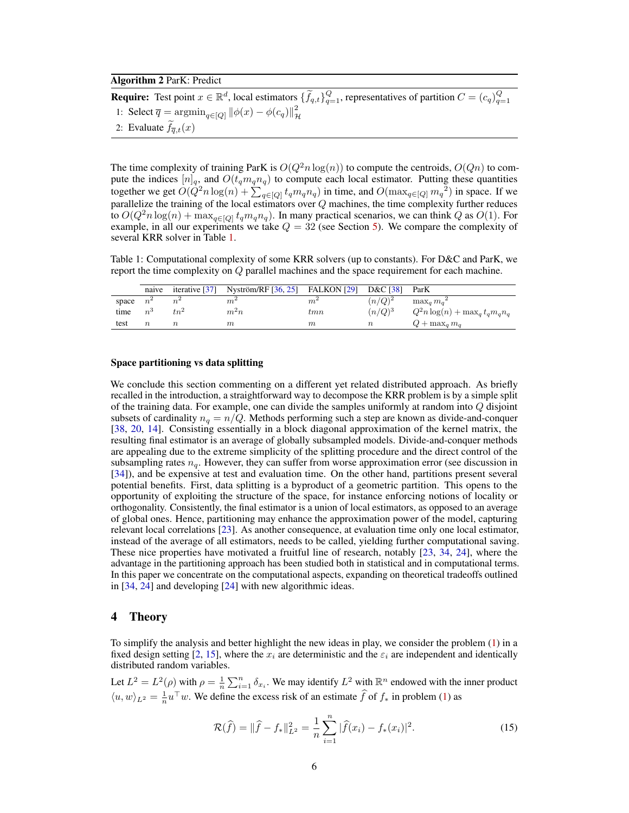#### Algorithm 2 ParK: Predict

**Require:** Test point  $x \in \mathbb{R}^d$ , local estimators  $\{\widetilde{f}_{q,t}\}_{q=1}^Q$ , representatives of partition  $C = (c_q)_{q=1}^Q$ 1: Select  $\overline{q} = \operatorname{argmin}_{q \in [Q]} ||\phi(x) - \phi(c_q)||_p^2$  $\mathcal H$ 2: Evaluate  $f_{\overline{q},t}(x)$ 

<span id="page-5-1"></span>The time complexity of training ParK is  $O(Q^2 n \log(n))$  to compute the centroids,  $O(Qn)$  to compute the indices  $[n]_q$ , and  $O(t_q m_q n_q)$  to compute each local estimator. Putting these quantities together we get  $O(Q^2 n \log(n) + \sum_{q \in [Q]} t_q m_q n_q)$  in time, and  $O(\max_{q \in [Q]} m_q^2)$  in space. If we parallelize the training of the local estimators over  $Q$  machines, the time complexity further reduces to  $O(Q^2 n \log(n) + \max_{q \in [Q]} t_q m_q n_q)$ . In many practical scenarios, we can think Q as  $O(1)$ . For example, in all our experiments we take  $Q = 32$  (see Section [5\)](#page-8-0). We compare the complexity of several KRR solver in Table [1.](#page-5-2)

<span id="page-5-2"></span>Table 1: Computational complexity of some KRR solvers (up to constants). For D&C and ParK, we report the time complexity on Q parallel machines and the space requirement for each machine.

|       | naive       |         | iterative $[37]$ Nyström/RF $[36, 25]$ FALKON $[29]$ |       | D&C [38] ParK |                                      |
|-------|-------------|---------|------------------------------------------------------|-------|---------------|--------------------------------------|
| space | $n^2$       |         | m·                                                   | $m^2$ | $(n/Q)^2$     | $\max_a m_a^2$                       |
| time  | $n^{\circ}$ | $t n^2$ | $m^2n$                                               | tmn   | $(n/Q)^3$     | $Q^2 n \log(n) + \max_q t_q m_q n_q$ |
| test  |             |         | $\,m$                                                | m     |               | $Q + \max_a m_a$                     |

#### Space partitioning vs data splitting

We conclude this section commenting on a different yet related distributed approach. As briefly recalled in the introduction, a straightforward way to decompose the KRR problem is by a simple split of the training data. For example, one can divide the samples uniformly at random into Q disjoint subsets of cardinality  $n_q = n/Q$ . Methods performing such a step are known as divide-and-conquer [\[38,](#page-11-13) [20,](#page-10-7) [14\]](#page-10-8). Consisting essentially in a block diagonal approximation of the kernel matrix, the resulting final estimator is an average of globally subsampled models. Divide-and-conquer methods are appealing due to the extreme simplicity of the splitting procedure and the direct control of the subsampling rates  $n<sub>a</sub>$ . However, they can suffer from worse approximation error (see discussion in [\[34\]](#page-11-11)), and be expensive at test and evaluation time. On the other hand, partitions present several potential benefits. First, data splitting is a byproduct of a geometric partition. This opens to the opportunity of exploiting the structure of the space, for instance enforcing notions of locality or orthogonality. Consistently, the final estimator is a union of local estimators, as opposed to an average of global ones. Hence, partitioning may enhance the approximation power of the model, capturing relevant local correlations [\[23\]](#page-11-9). As another consequence, at evaluation time only one local estimator, instead of the average of all estimators, needs to be called, yielding further computational saving. These nice properties have motivated a fruitful line of research, notably [\[23,](#page-11-9) [34,](#page-11-11) [24\]](#page-11-12), where the advantage in the partitioning approach has been studied both in statistical and in computational terms. In this paper we concentrate on the computational aspects, expanding on theoretical tradeoffs outlined in [\[34,](#page-11-11) [24\]](#page-11-12) and developing [\[24\]](#page-11-12) with new algorithmic ideas.

## <span id="page-5-0"></span>4 Theory

To simplify the analysis and better highlight the new ideas in play, we consider the problem [\(1\)](#page-1-4) in a fixed design setting [\[2,](#page-10-15) [15\]](#page-10-16), where the  $x_i$  are deterministic and the  $\varepsilon_i$  are independent and identically distributed random variables.

Let  $L^2 = L^2(\rho)$  with  $\rho = \frac{1}{n} \sum_{i=1}^n \delta_{x_i}$ . We may identify  $L^2$  with  $\mathbb{R}^n$  endowed with the inner product  $\langle u, w \rangle_{L^2} = \frac{1}{n} u^\top w$ . We define the excess risk of an estimate  $\hat{f}$  of  $f_*$  in problem [\(1\)](#page-1-4) as

<span id="page-5-3"></span>
$$
\mathcal{R}(\hat{f}) = \|\hat{f} - f_*\|_{L^2}^2 = \frac{1}{n} \sum_{i=1}^n |\hat{f}(x_i) - f_*(x_i)|^2.
$$
 (15)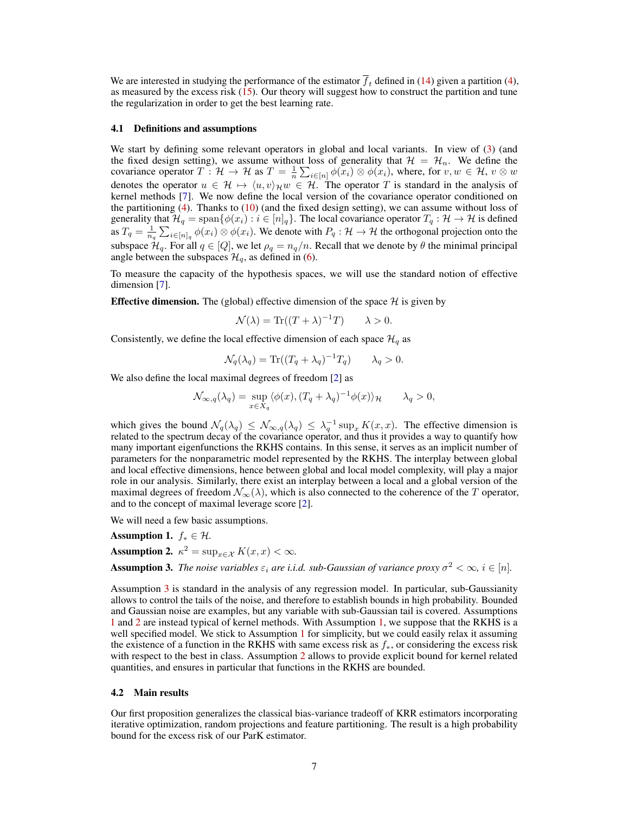We are interested in studying the performance of the estimator  $\bar{f}_t$  defined in [\(14\)](#page-4-3) given a partition [\(4\)](#page-2-0), as measured by the excess risk [\(15\)](#page-5-3). Our theory will suggest how to construct the partition and tune the regularization in order to get the best learning rate.

#### <span id="page-6-3"></span>4.1 Definitions and assumptions

We start by defining some relevant operators in global and local variants. In view of [\(3\)](#page-1-3) (and the fixed design setting), we assume without loss of generality that  $\mathcal{H} = \mathcal{H}_n$ . We define the covariance operator  $T : \mathcal{H} \to \mathcal{H}$  as  $T = \frac{1}{n} \sum_{i \in [n]} \phi(x_i) \otimes \phi(x_i)$ , where, for  $v, w \in \mathcal{H}$ ,  $v \otimes w$ denotes the operator  $u \in \mathcal{H} \mapsto \langle u, v \rangle_{\mathcal{H}} w \in \mathcal{H}$ . The operator T is standard in the analysis of kernel methods [\[7\]](#page-10-0). We now define the local version of the covariance operator conditioned on the partitioning  $(4)$ . Thanks to  $(10)$  (and the fixed design setting), we can assume without loss of generality that  $\mathcal{H}_q = \text{span}\{\phi(x_i) : i \in [n]_q\}$ . The local covariance operator  $T_q : \mathcal{H} \to \mathcal{H}$  is defined as  $T_q = \frac{1}{n_q} \sum_{i \in [n]_q} \phi(x_i) \otimes \phi(x_i)$ . We denote with  $P_q : \mathcal{H} \to \mathcal{H}$  the orthogonal projection onto the subspace  $\mathcal{H}_q$ . For all  $q \in [Q]$ , we let  $\rho_q = n_q/n$ . Recall that we denote by  $\theta$  the minimal principal angle between the subspaces  $\mathcal{H}_q$ , as defined in [\(6\)](#page-3-3).

To measure the capacity of the hypothesis spaces, we will use the standard notion of effective dimension [\[7\]](#page-10-0).

**Effective dimension.** The (global) effective dimension of the space  $H$  is given by

$$
\mathcal{N}(\lambda) = \text{Tr}((T + \lambda)^{-1}T) \qquad \lambda > 0.
$$

Consistently, we define the local effective dimension of each space  $\mathcal{H}_q$  as

$$
\mathcal{N}_q(\lambda_q) = \text{Tr}((T_q + \lambda_q)^{-1}T_q) \qquad \lambda_q > 0.
$$

We also define the local maximal degrees of freedom [\[2\]](#page-10-15) as

$$
\mathcal{N}_{\infty,q}(\lambda_q) = \sup_{x \in X_q} \langle \phi(x), (T_q + \lambda_q)^{-1} \phi(x) \rangle_{\mathcal{H}} \qquad \lambda_q > 0,
$$

which gives the bound  $\mathcal{N}_q(\lambda_q) \leq \mathcal{N}_{\infty,q}(\lambda_q) \leq \lambda_q^{-1} \sup_x K(x,x)$ . The effective dimension is related to the spectrum decay of the covariance operator, and thus it provides a way to quantify how many important eigenfunctions the RKHS contains. In this sense, it serves as an implicit number of parameters for the nonparametric model represented by the RKHS. The interplay between global and local effective dimensions, hence between global and local model complexity, will play a major role in our analysis. Similarly, there exist an interplay between a local and a global version of the maximal degrees of freedom  $\mathcal{N}_{\infty}(\lambda)$ , which is also connected to the coherence of the T operator, and to the concept of maximal leverage score [\[2\]](#page-10-15).

We will need a few basic assumptions.

<span id="page-6-1"></span>Assumption 1.  $f_* \in \mathcal{H}$ .

<span id="page-6-2"></span>**Assumption 2.** 
$$
\kappa^2 = \sup_{x \in \mathcal{X}} K(x, x) < \infty
$$
.

<span id="page-6-0"></span>**Assumption 3.** The noise variables  $\varepsilon_i$  are i.i.d. sub-Gaussian of variance proxy  $\sigma^2 < \infty$ ,  $i \in [n]$ .

Assumption [3](#page-6-0) is standard in the analysis of any regression model. In particular, sub-Gaussianity allows to control the tails of the noise, and therefore to establish bounds in high probability. Bounded and Gaussian noise are examples, but any variable with sub-Gaussian tail is covered. Assumptions [1](#page-6-1) and [2](#page-6-2) are instead typical of kernel methods. With Assumption [1,](#page-6-1) we suppose that the RKHS is a well specified model. We stick to Assumption [1](#page-6-1) for simplicity, but we could easily relax it assuming the existence of a function in the RKHS with same excess risk as  $f_*$ , or considering the excess risk with respect to the best in class. Assumption [2](#page-6-2) allows to provide explicit bound for kernel related quantities, and ensures in particular that functions in the RKHS are bounded.

#### 4.2 Main results

<span id="page-6-4"></span>Our first proposition generalizes the classical bias-variance tradeoff of KRR estimators incorporating iterative optimization, random projections and feature partitioning. The result is a high probability bound for the excess risk of our ParK estimator.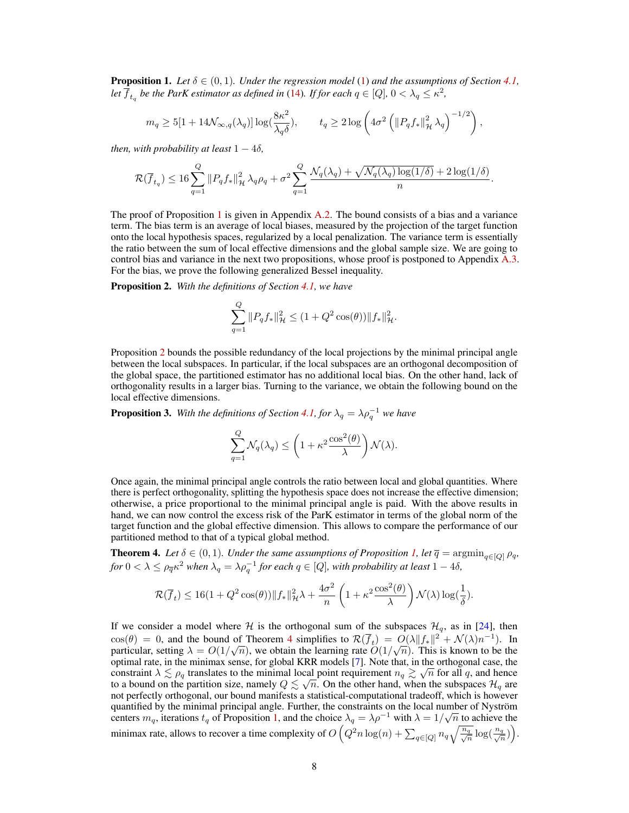**Proposition 1.** Let  $\delta \in (0,1)$ . Under the regression model [\(1\)](#page-1-4) and the assumptions of Section [4.1,](#page-6-3) Let  $\overline{f}_{t_q}$  be the ParK estimator as defined in [\(14\)](#page-4-3). If for each  $q \in [Q]$ ,  $0 < \lambda_q \leq \kappa^2$ ,

$$
m_q \geq 5[1+14\mathcal{N}_{\infty,q}(\lambda_q)]\log(\frac{8\kappa^2}{\lambda_q\delta}), \qquad t_q \geq 2\log\left(4\sigma^2\left(\|P_qf_*\|_{\mathcal{H}}^2\,\lambda_q\right)^{-1/2}\right),
$$

*then, with probability at least*  $1 - 4\delta$ *,* 

$$
\mathcal{R}(\overline{f}_{t_q}) \leq 16 \sum_{q=1}^Q \|P_q f_*\|_{\mathcal{H}}^2 \lambda_q \rho_q + \sigma^2 \sum_{q=1}^Q \frac{\mathcal{N}_q(\lambda_q) + \sqrt{\mathcal{N}_q(\lambda_q) \log(1/\delta)} + 2 \log(1/\delta)}{n}.
$$

The proof of Proposition [1](#page-6-4) is given in Appendix [A.2.](#page--1-1) The bound consists of a bias and a variance term. The bias term is an average of local biases, measured by the projection of the target function onto the local hypothesis spaces, regularized by a local penalization. The variance term is essentially the ratio between the sum of local effective dimensions and the global sample size. We are going to control bias and variance in the next two propositions, whose proof is postponed to Appendix [A.3.](#page--1-0) For the bias, we prove the following generalized Bessel inequality.

<span id="page-7-0"></span>Proposition 2. *With the definitions of Section [4.1,](#page-6-3) we have*

$$
\sum_{q=1}^{Q} ||P_q f_*||_{\mathcal{H}}^2 \le (1 + Q^2 \cos(\theta)) ||f_*||_{\mathcal{H}}^2.
$$

Proposition [2](#page-7-0) bounds the possible redundancy of the local projections by the minimal principal angle between the local subspaces. In particular, if the local subspaces are an orthogonal decomposition of the global space, the partitioned estimator has no additional local bias. On the other hand, lack of orthogonality results in a larger bias. Turning to the variance, we obtain the following bound on the local effective dimensions.

<span id="page-7-2"></span>**Proposition 3.** With the definitions of Section [4.1,](#page-6-3) for  $\lambda_q = \lambda \rho_q^{-1}$  we have

$$
\sum_{q=1}^{Q} \mathcal{N}_q(\lambda_q) \le \left(1 + \kappa^2 \frac{\cos^2(\theta)}{\lambda} \right) \mathcal{N}(\lambda).
$$

Once again, the minimal principal angle controls the ratio between local and global quantities. Where there is perfect orthogonality, splitting the hypothesis space does not increase the effective dimension; otherwise, a price proportional to the minimal principal angle is paid. With the above results in hand, we can now control the excess risk of the ParK estimator in terms of the global norm of the target function and the global effective dimension. This allows to compare the performance of our partitioned method to that of a typical global method.

<span id="page-7-1"></span>**Theorem 4.** *Let*  $\delta \in (0,1)$ *. Under the same assumptions of Proposition [1,](#page-6-4) let*  $\overline{q} = \argmin_{q \in [Q]} \rho_q$ *, for*  $0 < \lambda \leq \rho_{\overline{q}} \kappa^2$  when  $\lambda_q = \lambda \rho_q^{-1}$  *for each*  $q \in [Q]$ *, with probability at least*  $1-4\delta$ *,* 

$$
\mathcal{R}(\overline{f}_t) \le 16(1+Q^2\cos(\theta))\|f_*\|_{\mathcal{H}}^2\lambda + \frac{4\sigma^2}{n}\left(1+\kappa^2\frac{\cos^2(\theta)}{\lambda}\right)\mathcal{N}(\lambda)\log(\frac{1}{\delta}).
$$

If we consider a model where H is the orthogonal sum of the subspaces  $\mathcal{H}_q$ , as in [\[24\]](#page-11-12), then  $cos(\theta) = 0$ , and the bound of Theorem [4](#page-7-1) simplifies to  $\mathcal{R}(\overline{f}_t) = O(\lambda ||f_*||^2 + \mathcal{N}(\lambda)n^{-1})$ . In particular, setting  $\lambda = O(1/\sqrt{n})$ , we obtain the learning rate  $O(1/\sqrt{n})$ . This is known to be the optimal rate, in the minimax sense, for global KRR models [\[7\]](#page-10-0). Note that, in the orthogonal case, the constraint  $\lambda \lesssim \rho_q$  translates to the minimal local point requirement  $n_q \gtrsim \sqrt{n}$  for all q, and hence to a bound on the partition size, namely  $Q \lesssim \sqrt{n}$ . On the other hand, when the subspaces  $\mathcal{H}_q$  are not perfectly orthogonal, our bound manifests a statistical-computational tradeoff, which is however quantified by the minimal principal angle. Further, the constraints on the local number of Nyström quantified by the minimal principal angle. Further, the constraints on the local number of Nystrom centers  $m_q$ , iterations  $t_q$  of Proposition [1,](#page-6-4) and the choice  $\lambda_q = \lambda \rho^{-1}$  with  $\lambda = 1/\sqrt{n}$  to achieve the minimax rate, allows to recover a time complexity of  $O\left(Q^2n\log(n) + \sum_{q\in [Q]} n_q \sqrt{\frac{n_q}{\sqrt{n}}} \right)$  $\frac{q}{n} \log(\frac{n_q}{\sqrt{r}})$  $\frac{q}{\overline{n}})\Big).$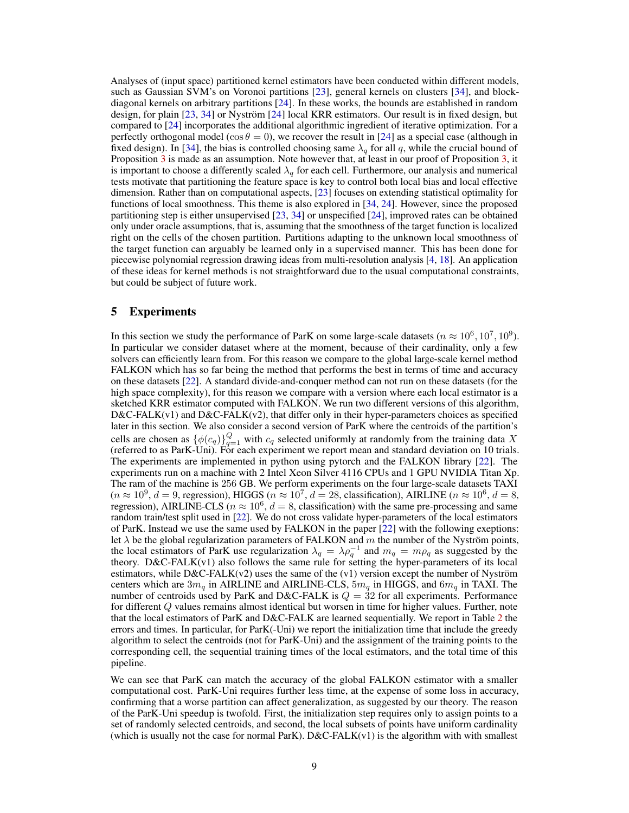Analyses of (input space) partitioned kernel estimators have been conducted within different models, such as Gaussian SVM's on Voronoi partitions [\[23\]](#page-11-9), general kernels on clusters [\[34\]](#page-11-11), and blockdiagonal kernels on arbitrary partitions [\[24\]](#page-11-12). In these works, the bounds are established in random design, for plain [\[23,](#page-11-9) [34\]](#page-11-11) or Nyström [\[24\]](#page-11-12) local KRR estimators. Our result is in fixed design, but compared to [\[24\]](#page-11-12) incorporates the additional algorithmic ingredient of iterative optimization. For a perfectly orthogonal model ( $\cos \theta = 0$ ), we recover the result in [\[24\]](#page-11-12) as a special case (although in fixed design). In [\[34\]](#page-11-11), the bias is controlled choosing same  $\lambda_q$  for all q, while the crucial bound of Proposition [3](#page-7-2) is made as an assumption. Note however that, at least in our proof of Proposition [3,](#page-7-2) it is important to choose a differently scaled  $\lambda_q$  for each cell. Furthermore, our analysis and numerical tests motivate that partitioning the feature space is key to control both local bias and local effective dimension. Rather than on computational aspects, [\[23\]](#page-11-9) focuses on extending statistical optimality for functions of local smoothness. This theme is also explored in [\[34,](#page-11-11) [24\]](#page-11-12). However, since the proposed partitioning step is either unsupervised [\[23,](#page-11-9) [34\]](#page-11-11) or unspecified [\[24\]](#page-11-12), improved rates can be obtained only under oracle assumptions, that is, assuming that the smoothness of the target function is localized right on the cells of the chosen partition. Partitions adapting to the unknown local smoothness of the target function can arguably be learned only in a supervised manner. This has been done for piecewise polynomial regression drawing ideas from multi-resolution analysis [\[4,](#page-10-17) [18\]](#page-10-18). An application of these ideas for kernel methods is not straightforward due to the usual computational constraints, but could be subject of future work.

## <span id="page-8-0"></span>5 Experiments

In this section we study the performance of ParK on some large-scale datasets ( $n \approx 10^6, 10^7, 10^9$ ). In particular we consider dataset where at the moment, because of their cardinality, only a few solvers can efficiently learn from. For this reason we compare to the global large-scale kernel method FALKON which has so far being the method that performs the best in terms of time and accuracy on these datasets [\[22\]](#page-10-19). A standard divide-and-conquer method can not run on these datasets (for the high space complexity), for this reason we compare with a version where each local estimator is a sketched KRR estimator computed with FALKON. We run two different versions of this algorithm,  $D&C\text{-FALK}(v1)$  and  $D&C\text{-FALK}(v2)$ , that differ only in their hyper-parameters choices as specified later in this section. We also consider a second version of ParK where the centroids of the partition's cells are chosen as  $\{\phi(c_q)\}_{q=1}^Q$  with  $c_q$  selected uniformly at randomly from the training data X (referred to as ParK-Uni). For each experiment we report mean and standard deviation on 10 trials. The experiments are implemented in python using pytorch and the FALKON library [\[22\]](#page-10-19). The experiments run on a machine with 2 Intel Xeon Silver 4116 CPUs and 1 GPU NVIDIA Titan Xp. The ram of the machine is 256 GB. We perform experiments on the four large-scale datasets TAXI  $(n \approx 10^9, d = 9, \text{ regression})$ , HIGGS  $(n \approx 10^7, d = 28, \text{ classification})$ , AIRLINE  $(n \approx 10^6, d = 8, \text{ T}$ regression), AIRLINE-CLS ( $n \approx 10^6$ ,  $d = 8$ , classification) with the same pre-processing and same random train/test split used in [\[22\]](#page-10-19). We do not cross validate hyper-parameters of the local estimators of ParK. Instead we use the same used by FALKON in the paper [\[22\]](#page-10-19) with the following exeptions: let  $\lambda$  be the global regularization parameters of FALKON and m the number of the Nyström points, the local estimators of ParK use regularization  $\lambda_q = \lambda \rho_q^{-1}$  and  $m_q = m \rho_q$  as suggested by the theory. D&C-FALK(v1) also follows the same rule for setting the hyper-parameters of its local estimators, while  $D&C\text{-FALK}(v2)$  uses the same of the (v1) version except the number of Nyström centers which are  $3m_q$  in AIRLINE and AIRLINE-CLS,  $5m_q$  in HIGGS, and  $6m_q$  in TAXI. The number of centroids used by ParK and D&C-FALK is  $Q = 32$  for all experiments. Performance for different Q values remains almost identical but worsen in time for higher values. Further, note that the local estimators of ParK and D&C-FALK are learned sequentially. We report in Table [2](#page-9-1) the errors and times. In particular, for ParK(-Uni) we report the initialization time that include the greedy algorithm to select the centroids (not for ParK-Uni) and the assignment of the training points to the corresponding cell, the sequential training times of the local estimators, and the total time of this pipeline.

We can see that ParK can match the accuracy of the global FALKON estimator with a smaller computational cost. ParK-Uni requires further less time, at the expense of some loss in accuracy, confirming that a worse partition can affect generalization, as suggested by our theory. The reason of the ParK-Uni speedup is twofold. First, the initialization step requires only to assign points to a set of randomly selected centroids, and second, the local subsets of points have uniform cardinality (which is usually not the case for normal  $\text{ParK}$ ).  $D&C\text{-FALK}(v1)$  is the algorithm with with smallest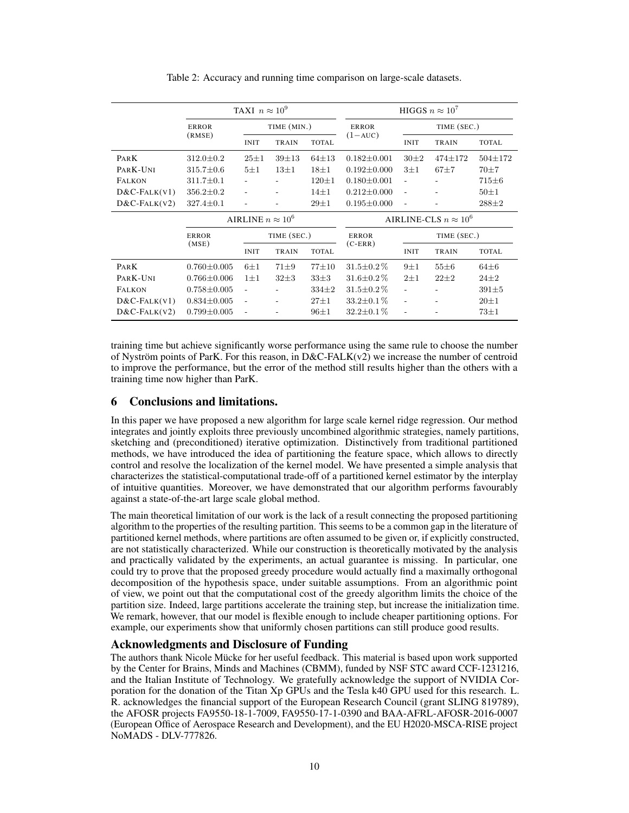Table 2: Accuracy and running time comparison on large-scale datasets.

<span id="page-9-1"></span>

|                       | TAXI $n \approx 10^9$ |                          |              |              | HIGGS $n \approx 10^7$       |                          |               |               |  |
|-----------------------|-----------------------|--------------------------|--------------|--------------|------------------------------|--------------------------|---------------|---------------|--|
|                       | <b>ERROR</b>          | TIME (MIN.)              |              | <b>ERROR</b> | TIME (SEC.)                  |                          |               |               |  |
|                       | (RMSE)                | <b>INIT</b>              | <b>TRAIN</b> | <b>TOTAL</b> | $(1 - AUC)$                  | <b>INIT</b>              | TRAIN         | <b>TOTAL</b>  |  |
| PARK                  | $312.0 \pm 0.2$       | $25 + 1$                 | $39 + 13$    | $64 + 13$    | $0.182 \pm 0.001$            | $30\pm2$                 | $474 \pm 172$ | $504 \pm 172$ |  |
| PARK-UNI              | $315.7 \pm 0.6$       | $5\pm1$                  | $13\pm1$     | $18\pm1$     | $0.192 \pm 0.000$            | $3\pm1$                  | $67 + 7$      | $70 + 7$      |  |
| <b>FALKON</b>         | $311.7 \pm 0.1$       |                          |              | $120 \pm 1$  | $0.180 \pm 0.001$            | ÷,                       |               | $715 \pm 6$   |  |
| $D&C\text{-FALK}(V1)$ | $356.2 \pm 0.2$       | ٠                        |              | $14\pm1$     | $0.212 \pm 0.000$            | $\overline{\phantom{a}}$ |               | $50 + 1$      |  |
| $D&C\text{-FALK}(V2)$ | $327.4 \pm 0.1$       |                          |              | $29 \pm 1$   | $0.195 \pm 0.000$            | ÷,                       |               | $288 \pm 2$   |  |
|                       |                       | AIRLINE $n \approx 10^6$ |              |              | AIRLINE-CLS $n \approx 10^6$ |                          |               |               |  |
|                       | <b>ERROR</b>          |                          | TIME (SEC.)  |              | <b>ERROR</b>                 | TIME (SEC.)              |               |               |  |
|                       | (MSE)                 | <b>INIT</b>              | <b>TRAIN</b> | <b>TOTAL</b> | $(C-ERR)$                    | <b>INIT</b>              | TRAIN         | <b>TOTAL</b>  |  |
| PARK                  | $0.760 \pm 0.005$     | $6\pm1$                  | $71 + 9$     | $77 + 10$    | $31.5 \pm 0.2\%$             | $9\pm1$                  | $55 \pm 6$    | $64\pm6$      |  |
| PARK-UNI              | $0.766 \pm 0.006$     | $1\pm1$                  | $32\pm3$     | $33\pm3$     | $31.6 \pm 0.2\%$             | $2\pm1$                  | $22 \pm 2$    | $24 + 2$      |  |
| <b>FALKON</b>         | $0.758 \pm 0.005$     | ٠                        |              | $334\pm2$    | $31.5 \pm 0.2\%$             | ÷,                       |               | $391 + 5$     |  |
| $D&C\text{-FALK}(V1)$ | $0.834 \pm 0.005$     | ٠                        |              | $27 + 1$     | $33.2 \pm 0.1\%$             | ٠                        |               | $20 + 1$      |  |
| $D&C\text{-FALK}(V2)$ | $0.799 \pm 0.005$     | ٠                        |              | $96 + 1$     | $32.2 \pm 0.1\%$             | ۰                        |               | $73 \pm 1$    |  |

training time but achieve significantly worse performance using the same rule to choose the number of Nyström points of ParK. For this reason, in  $D&C\text{-}FALK(v2)$  we increase the number of centroid to improve the performance, but the error of the method still results higher than the others with a training time now higher than ParK.

# <span id="page-9-0"></span>6 Conclusions and limitations.

In this paper we have proposed a new algorithm for large scale kernel ridge regression. Our method integrates and jointly exploits three previously uncombined algorithmic strategies, namely partitions, sketching and (preconditioned) iterative optimization. Distinctively from traditional partitioned methods, we have introduced the idea of partitioning the feature space, which allows to directly control and resolve the localization of the kernel model. We have presented a simple analysis that characterizes the statistical-computational trade-off of a partitioned kernel estimator by the interplay of intuitive quantities. Moreover, we have demonstrated that our algorithm performs favourably against a state-of-the-art large scale global method.

The main theoretical limitation of our work is the lack of a result connecting the proposed partitioning algorithm to the properties of the resulting partition. This seems to be a common gap in the literature of partitioned kernel methods, where partitions are often assumed to be given or, if explicitly constructed, are not statistically characterized. While our construction is theoretically motivated by the analysis and practically validated by the experiments, an actual guarantee is missing. In particular, one could try to prove that the proposed greedy procedure would actually find a maximally orthogonal decomposition of the hypothesis space, under suitable assumptions. From an algorithmic point of view, we point out that the computational cost of the greedy algorithm limits the choice of the partition size. Indeed, large partitions accelerate the training step, but increase the initialization time. We remark, however, that our model is flexible enough to include cheaper partitioning options. For example, our experiments show that uniformly chosen partitions can still produce good results.

# Acknowledgments and Disclosure of Funding

The authors thank Nicole Mücke for her useful feedback. This material is based upon work supported by the Center for Brains, Minds and Machines (CBMM), funded by NSF STC award CCF-1231216, and the Italian Institute of Technology. We gratefully acknowledge the support of NVIDIA Corporation for the donation of the Titan Xp GPUs and the Tesla k40 GPU used for this research. L. R. acknowledges the financial support of the European Research Council (grant SLING 819789), the AFOSR projects FA9550-18-1-7009, FA9550-17-1-0390 and BAA-AFRL-AFOSR-2016-0007 (European Office of Aerospace Research and Development), and the EU H2020-MSCA-RISE project NoMADS - DLV-777826.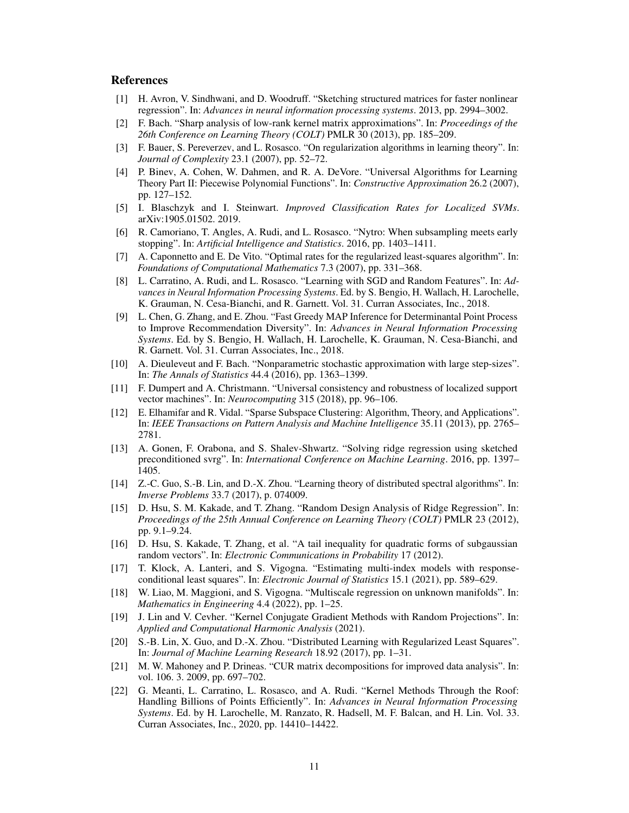# References

- <span id="page-10-4"></span>[1] H. Avron, V. Sindhwani, and D. Woodruff. "Sketching structured matrices for faster nonlinear regression". In: *Advances in neural information processing systems*. 2013, pp. 2994–3002.
- <span id="page-10-15"></span>[2] F. Bach. "Sharp analysis of low-rank kernel matrix approximations". In: *Proceedings of the 26th Conference on Learning Theory (COLT)* PMLR 30 (2013), pp. 185–209.
- <span id="page-10-1"></span>[3] F. Bauer, S. Pereverzev, and L. Rosasco. "On regularization algorithms in learning theory". In: *Journal of Complexity* 23.1 (2007), pp. 52–72.
- <span id="page-10-17"></span>[4] P. Binev, A. Cohen, W. Dahmen, and R. A. DeVore. "Universal Algorithms for Learning Theory Part II: Piecewise Polynomial Functions". In: *Constructive Approximation* 26.2 (2007), pp. 127–152.
- <span id="page-10-6"></span>[5] I. Blaschzyk and I. Steinwart. *Improved Classification Rates for Localized SVMs*. arXiv:1905.01502. 2019.
- <span id="page-10-9"></span>[6] R. Camoriano, T. Angles, A. Rudi, and L. Rosasco. "Nytro: When subsampling meets early stopping". In: *Artificial Intelligence and Statistics*. 2016, pp. 1403–1411.
- <span id="page-10-0"></span>[7] A. Caponnetto and E. De Vito. "Optimal rates for the regularized least-squares algorithm". In: *Foundations of Computational Mathematics* 7.3 (2007), pp. 331–368.
- <span id="page-10-10"></span>[8] L. Carratino, A. Rudi, and L. Rosasco. "Learning with SGD and Random Features". In: *Advances in Neural Information Processing Systems*. Ed. by S. Bengio, H. Wallach, H. Larochelle, K. Grauman, N. Cesa-Bianchi, and R. Garnett. Vol. 31. Curran Associates, Inc., 2018.
- <span id="page-10-13"></span>[9] L. Chen, G. Zhang, and E. Zhou. "Fast Greedy MAP Inference for Determinantal Point Process to Improve Recommendation Diversity". In: *Advances in Neural Information Processing Systems*. Ed. by S. Bengio, H. Wallach, H. Larochelle, K. Grauman, N. Cesa-Bianchi, and R. Garnett. Vol. 31. Curran Associates, Inc., 2018.
- <span id="page-10-2"></span>[10] A. Dieuleveut and F. Bach. "Nonparametric stochastic approximation with large step-sizes". In: *The Annals of Statistics* 44.4 (2016), pp. 1363–1399.
- <span id="page-10-5"></span>[11] F. Dumpert and A. Christmann. "Universal consistency and robustness of localized support vector machines". In: *Neurocomputing* 315 (2018), pp. 96–106.
- <span id="page-10-12"></span>[12] E. Elhamifar and R. Vidal. "Sparse Subspace Clustering: Algorithm, Theory, and Applications". In: *IEEE Transactions on Pattern Analysis and Machine Intelligence* 35.11 (2013), pp. 2765– 2781.
- <span id="page-10-3"></span>[13] A. Gonen, F. Orabona, and S. Shalev-Shwartz. "Solving ridge regression using sketched preconditioned svrg". In: *International Conference on Machine Learning*. 2016, pp. 1397– 1405.
- <span id="page-10-8"></span>[14] Z.-C. Guo, S.-B. Lin, and D.-X. Zhou. "Learning theory of distributed spectral algorithms". In: *Inverse Problems* 33.7 (2017), p. 074009.
- <span id="page-10-16"></span>[15] D. Hsu, S. M. Kakade, and T. Zhang. "Random Design Analysis of Ridge Regression". In: *Proceedings of the 25th Annual Conference on Learning Theory (COLT)* PMLR 23 (2012), pp. 9.1–9.24.
- [16] D. Hsu, S. Kakade, T. Zhang, et al. "A tail inequality for quadratic forms of subgaussian random vectors". In: *Electronic Communications in Probability* 17 (2012).
- [17] T. Klock, A. Lanteri, and S. Vigogna. "Estimating multi-index models with responseconditional least squares". In: *Electronic Journal of Statistics* 15.1 (2021), pp. 589–629.
- <span id="page-10-18"></span>[18] W. Liao, M. Maggioni, and S. Vigogna. "Multiscale regression on unknown manifolds". In: *Mathematics in Engineering* 4.4 (2022), pp. 1–25.
- <span id="page-10-11"></span>[19] J. Lin and V. Cevher. "Kernel Conjugate Gradient Methods with Random Projections". In: *Applied and Computational Harmonic Analysis* (2021).
- <span id="page-10-7"></span>[20] S.-B. Lin, X. Guo, and D.-X. Zhou. "Distributed Learning with Regularized Least Squares". In: *Journal of Machine Learning Research* 18.92 (2017), pp. 1–31.
- <span id="page-10-14"></span>[21] M. W. Mahoney and P. Drineas. "CUR matrix decompositions for improved data analysis". In: vol. 106. 3. 2009, pp. 697–702.
- <span id="page-10-19"></span>[22] G. Meanti, L. Carratino, L. Rosasco, and A. Rudi. "Kernel Methods Through the Roof: Handling Billions of Points Efficiently". In: *Advances in Neural Information Processing Systems*. Ed. by H. Larochelle, M. Ranzato, R. Hadsell, M. F. Balcan, and H. Lin. Vol. 33. Curran Associates, Inc., 2020, pp. 14410–14422.